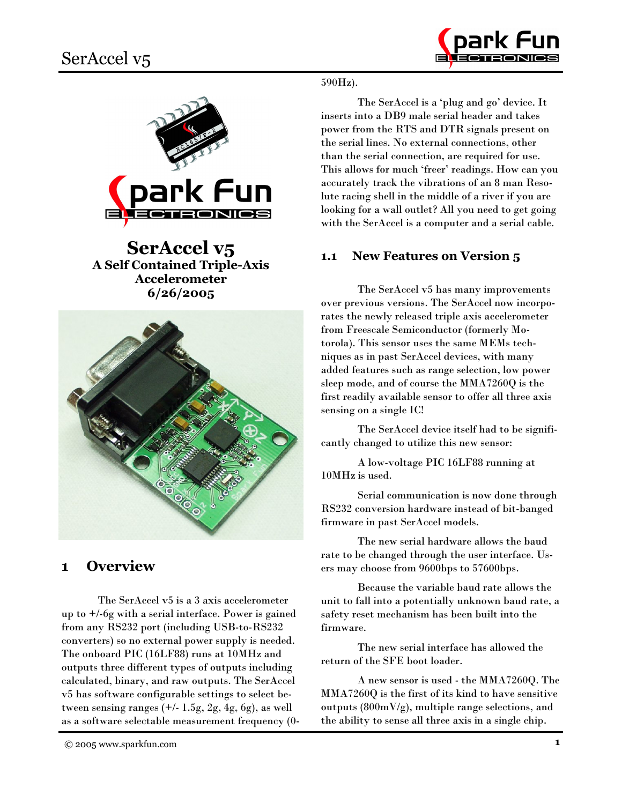



**SerAccel v5 A Self Contained Triple-Axis Accelerometer**  $6/26/2005$ 



## **Overview**  $\blacksquare$

The SerAccel v5 is a 3 axis accelerometer up to  $+/-6g$  with a serial interface. Power is gained from any RS232 port (including USB-to-RS232 converters) so no external power supply is needed. The onboard PIC (16LF88) runs at 10MHz and outputs three different types of outputs including calculated, binary, and raw outputs. The SerAccel v5 has software configurable settings to select between sensing ranges  $(+/- 1.5g, 2g, 4g, 6g)$ , as well as a software selectable measurement frequency (0-

The SerAccel is a 'plug and go' device. It inserts into a DB9 male serial header and takes power from the RTS and DTR signals present on the serial lines. No external connections, other than the serial connection, are required for use. This allows for much 'freer' readings. How can you accurately track the vibrations of an 8 man Resolute racing shell in the middle of a river if you are looking for a wall outlet? All you need to get going with the SerAccel is a computer and a serial cable.

#### **New Features on Version 5**  $1.1$

The SerAccel v5 has many improvements over previous versions. The SerAccel now incorporates the newly released triple axis accelerometer from Freescale Semiconductor (formerly Motorola). This sensor uses the same MEMs techniques as in past SerAccel devices, with many added features such as range selection, low power sleep mode, and of course the MMA7260Q is the first readily available sensor to offer all three axis sensing on a single IC!

The SerAccel device itself had to be significantly changed to utilize this new sensor:

A low-voltage PIC 16LF88 running at 10MHz is used.

Serial communication is now done through RS232 conversion hardware instead of bit-banged firmware in past SerAccel models.

The new serial hardware allows the baud rate to be changed through the user interface. Users may choose from 9600bps to 57600bps.

Because the variable baud rate allows the unit to fall into a potentially unknown baud rate, a safety reset mechanism has been built into the firmware.

The new serial interface has allowed the return of the SFE boot loader.

A new sensor is used - the MMA7260Q. The MMA7260Q is the first of its kind to have sensitive outputs  $(800 \text{mV/g})$ , multiple range selections, and the ability to sense all three axis in a single chip.

<sup>© 2005</sup> www.sparkfun.com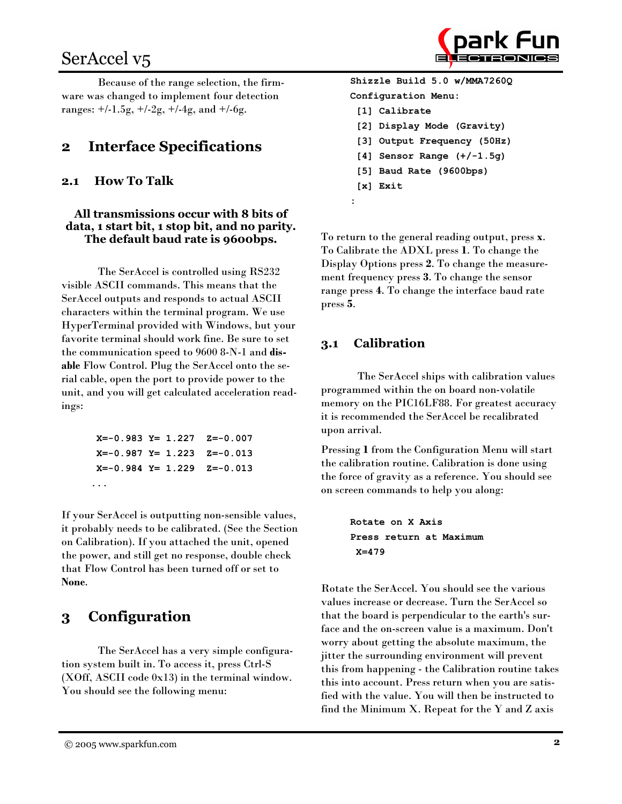# SerAccel v<sub>5</sub>

Because of the range selection, the firmware was changed to implement four detection ranges:  $+/-1.5g$ ,  $+/-2g$ ,  $+/-4g$ , and  $+/-6g$ .

### **Interface Specifications**  $\mathbf{2}$

#### **How To Talk**  $2.1$

# All transmissions occur with 8 bits of data, 1 start bit, 1 stop bit, and no parity. The default baud rate is 9600bps.

The SerAccel is controlled using RS232 visible ASCII commands. This means that the SerAccel outputs and responds to actual ASCII characters within the terminal program. We use HyperTerminal provided with Windows, but your favorite terminal should work fine. Be sure to set the communication speed to 9600 8-N-1 and disable Flow Control. Plug the SerAccel onto the serial cable, open the port to provide power to the unit, and you will get calculated acceleration readings:

> $X=-0.983$   $Y= 1.227$  $Z=-0.007$  $X=-0.987 Y= 1.223 Z=-0.013$  $X=-0.984$   $Y= 1.229$  $Z=-0.013$  $\ddots$

If your SerAccel is outputting non-sensible values, it probably needs to be calibrated. (See the Section on Calibration). If you attached the unit, opened the power, and still get no response, double check that Flow Control has been turned off or set to None.

## Configuration 3

The SerAccel has a very simple configuration system built in. To access it, press Ctrl-S  $(XOff, ASCII code 0x13)$  in the terminal window. You should see the following menu:

Shizzle Build 5.0 w/MMA72600 Configuration Menu: [1] Calibrate [2] Display Mode (Gravity) [3] Output Frequency (50Hz) [4] Sensor Range  $(+/-1.5g)$ [5] Baud Rate (9600bps)

 $[x]$  Exit

To return to the general reading output, press x. To Calibrate the ADXL press 1. To change the Display Options press 2. To change the measurement frequency press 3. To change the sensor range press 4. To change the interface baud rate press 5.

#### **Calibration**  $3.1$

The SerAccel ships with calibration values programmed within the on board non-volatile memory on the PIC16LF88. For greatest accuracy it is recommended the SerAccel be recalibrated upon arrival.

Pressing 1 from the Configuration Menu will start the calibration routine. Calibration is done using the force of gravity as a reference. You should see on screen commands to help you along:

```
Rotate on X Axis
Press return at Maximum
X = 479
```
Rotate the SerAccel. You should see the various values increase or decrease. Turn the SerAccel so that the board is perpendicular to the earth's surface and the on-screen value is a maximum. Don't worry about getting the absolute maximum, the jitter the surrounding environment will prevent this from happening - the Calibration routine takes this into account. Press return when you are satisfied with the value. You will then be instructed to find the Minimum X. Repeat for the Y and Z axis

<sup>© 2005</sup> www.sparkfun.com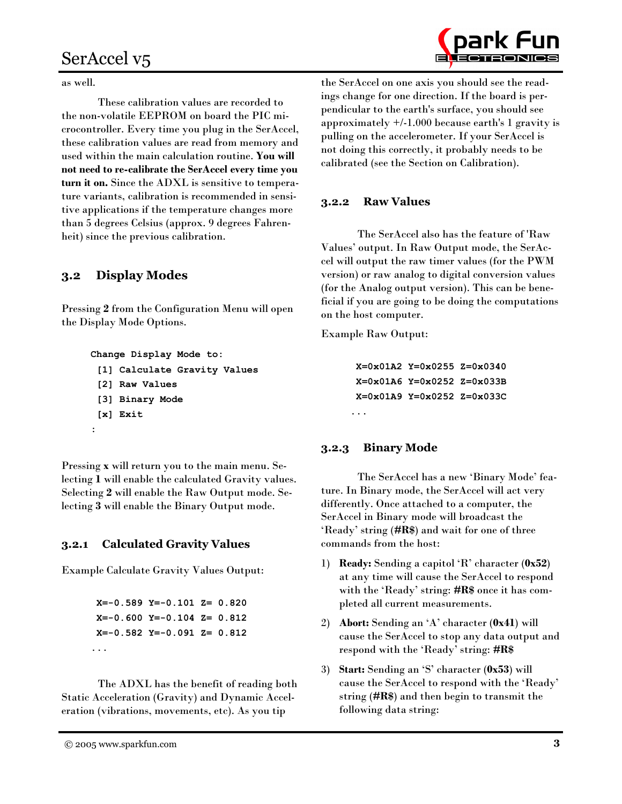# SerAccel v5



These calibration values are recorded to the non-volatile EEPROM on board the PIC microcontroller. Every time you plug in the SerAccel, these calibration values are read from memory and used within the main calculation routine. You will not need to re-calibrate the SerAccel every time you turn it on. Since the ADXL is sensitive to temperature variants, calibration is recommended in sensitive applications if the temperature changes more than 5 degrees Celsius (approx. 9 degrees Fahrenheit) since the previous calibration.

#### **Display Modes**  $3.2$

Pressing 2 from the Configuration Menu will open the Display Mode Options.

```
Change Display Mode to:
```
- [1] Calculate Gravity Values
- [2] Raw Values
- [3] Binary Mode

```
[x] Exit
```

```
\colon
```
Pressing x will return you to the main menu. Selecting 1 will enable the calculated Gravity values. Selecting 2 will enable the Raw Output mode. Selecting 3 will enable the Binary Output mode.

#### **Calculated Gravity Values**  $3.2.1$

**Example Calculate Gravity Values Output:** 

 $X=-0.589$   $Y=-0.101$   $Z=0.820$  $X=-0.600 Y=-0.104 Z= 0.812$  $X=-0.582$   $Y=-0.091$   $Z=0.812$ . . .

The ADXL has the benefit of reading both Static Acceleration (Gravity) and Dynamic Acceleration (vibrations, movements, etc). As you tip

the SerAccel on one axis you should see the readings change for one direction. If the board is perpendicular to the earth's surface, you should see approximately  $+/-1.000$  because earth's 1 gravity is pulling on the accelerometer. If your SerAccel is not doing this correctly, it probably needs to be calibrated (see the Section on Calibration).

#### **Raw Values**  $3.2.2$

The SerAccel also has the feature of 'Raw Values' output. In Raw Output mode, the SerAccel will output the raw timer values (for the PWM version) or raw analog to digital conversion values (for the Analog output version). This can be beneficial if you are going to be doing the computations on the host computer.

**Example Raw Output:** 

```
X=0x01A2 Y=0x0255 Z=0x0340
X=0 \times 01A6 Y=0x0252 Z=0x033B
X=0x01A9 Y=0x0252 Z=0x033C
. . .
```
#### **Binary Mode**  $3.2.3$

The SerAccel has a new 'Binary Mode' feature. In Binary mode, the SerAccel will act very differently. Once attached to a computer, the SerAccel in Binary mode will broadcast the 'Ready' string (#R\$) and wait for one of three commands from the host:

- 1) Ready: Sending a capitol 'R' character (0x52) at any time will cause the SerAccel to respond with the 'Ready' string: #R\$ once it has completed all current measurements.
- 2) Abort: Sending an 'A' character (0x41) will cause the SerAccel to stop any data output and respond with the 'Ready' string: #R\$
- 3) Start: Sending an 'S' character (0x53) will cause the SerAccel to respond with the 'Ready' string (# $\mathbf{R}\$ ) and then begin to transmit the following data string:

© 2005 www.sparkfun.com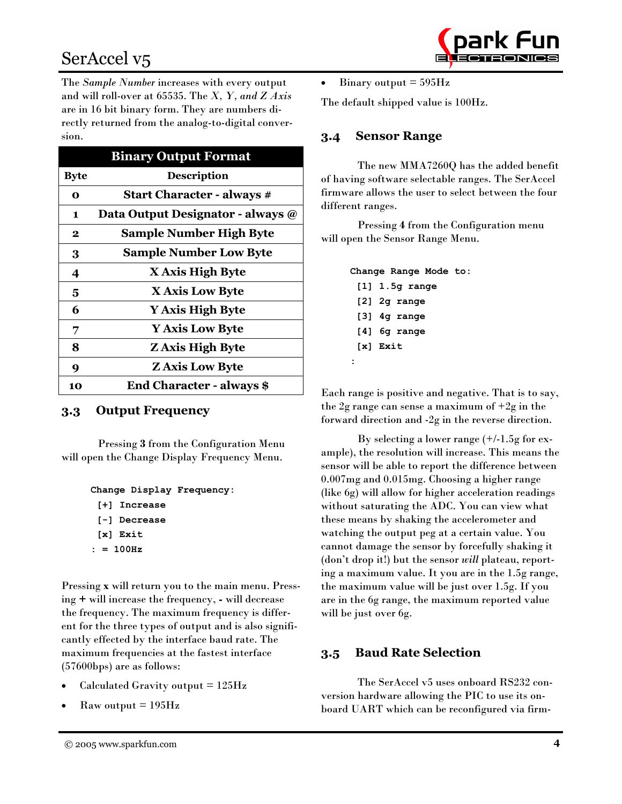# SerAccel v<sub>5</sub>

The Sample Number increases with every output and will roll-over at 65535. The X, Y, and Z Axis are in 16 bit binary form. They are numbers directly returned from the analog-to-digital conversion.

|             | <b>Binary Output Format</b>       |
|-------------|-----------------------------------|
| <b>Byte</b> | <b>Description</b>                |
| $\bf{0}$    | <b>Start Character - always #</b> |
| 1           | Data Output Designator - always @ |
| $\bf{2}$    | <b>Sample Number High Byte</b>    |
| 3           | <b>Sample Number Low Byte</b>     |
| 4           | X Axis High Byte                  |
| 5           | X Axis Low Byte                   |
| 6           | Y Axis High Byte                  |
| 7           | <b>Y Axis Low Byte</b>            |
| 8           | <b>Z</b> Axis High Byte           |
| 9           | <b>Z Axis Low Byte</b>            |
| 10          | <b>End Character - always \$</b>  |

#### $3.3$ **Output Frequency**

Pressing 3 from the Configuration Menu will open the Change Display Frequency Menu.

```
Change Display Frequency:
 [+] Increase
 [-] Decrease
 [x] Exit
: = 100Hz
```
Pressing x will return you to the main menu. Pressing + will increase the frequency, - will decrease the frequency. The maximum frequency is different for the three types of output and is also significantly effected by the interface baud rate. The maximum frequencies at the fastest interface  $(57600bps)$  are as follows:

- Calculated Gravity output  $= 125 Hz$
- $\rm Raw$  output = 195 $\rm Hz$

Binary output  $= 595$ Hz  $\bullet$ 

The default shipped value is 100Hz.

#### **Sensor Range**  $3.4$

The new MMA7260Q has the added benefit of having software selectable ranges. The SerAccel firmware allows the user to select between the four different ranges.

Pressing 4 from the Configuration menu will open the Sensor Range Menu.

> Change Range Mode to:  $[1]$  1.5q range  $[2]$  2g range  $[3]$  4g range  $[4]$  6g range  $[x]$  Exit  $\ddot{\cdot}$

Each range is positive and negative. That is to say, the 2g range can sense a maximum of  $+2g$  in the forward direction and -2g in the reverse direction.

By selecting a lower range  $(+/-1.5)$ g for example), the resolution will increase. This means the sensor will be able to report the difference between 0.007mg and 0.015mg. Choosing a higher range (like 6g) will allow for higher acceleration readings without saturating the ADC. You can view what these means by shaking the accelerometer and watching the output peg at a certain value. You cannot damage the sensor by forcefully shaking it (don't drop it!) but the sensor will plateau, reporting a maximum value. It you are in the 1.5g range, the maximum value will be just over 1.5g. If you are in the 6g range, the maximum reported value will be just over 6g.

#### **Baud Rate Selection**  $3.5$

The SerAccel v5 uses onboard RS232 conversion hardware allowing the PIC to use its onboard UART which can be reconfigured via firm-

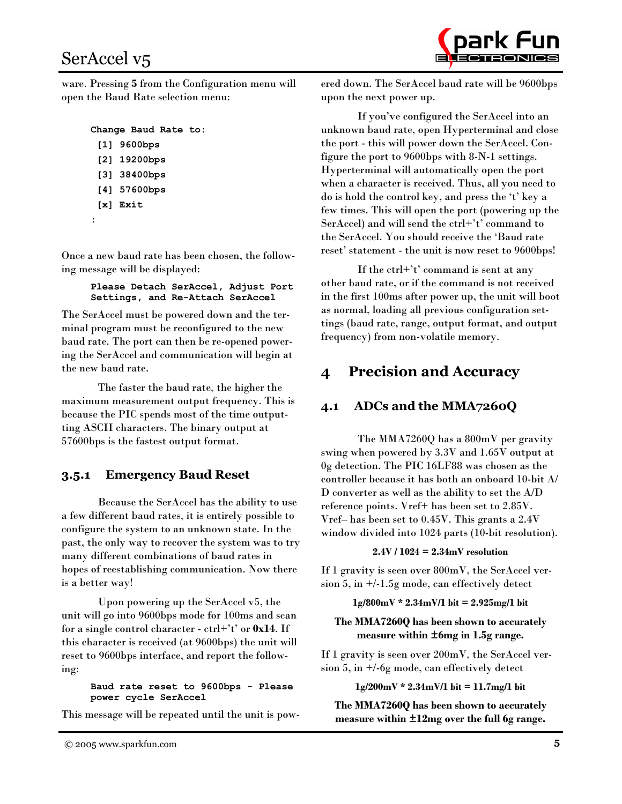

ware. Pressing 5 from the Configuration menu will open the Baud Rate selection menu:

```
Change Baud Rate to:
```

```
[1] 9600bps
```
- [2] 19200bps
- [3] 38400bps
- [4] 57600bps
- $[x]$  Exit
- $\ddot{\cdot}$

Once a new baud rate has been chosen, the following message will be displayed:

> Please Detach SerAccel, Adjust Port Settings, and Re-Attach SerAccel

The SerAccel must be powered down and the terminal program must be reconfigured to the new baud rate. The port can then be re-opened powering the SerAccel and communication will begin at the new baud rate.

The faster the baud rate, the higher the maximum measurement output frequency. This is because the PIC spends most of the time outputting ASCII characters. The binary output at 57600bps is the fastest output format.

## **Emergency Baud Reset**  $3.5.1$

Because the SerAccel has the ability to use a few different baud rates, it is entirely possible to configure the system to an unknown state. In the past, the only way to recover the system was to try many different combinations of baud rates in hopes of reestablishing communication. Now there is a better way!

Upon powering up the SerAccel v5, the unit will go into 9600bps mode for 100ms and scan for a single control character -  $\text{ctrl}+t'$  or 0x14. If this character is received (at 9600bps) the unit will reset to 9600bps interface, and report the following:

> Baud rate reset to 9600bps - Please power cycle SerAccel

This message will be repeated until the unit is pow-

ered down. The SerAccel baud rate will be 9600bps upon the next power up.

If you've configured the SerAccel into an unknown baud rate, open Hyperterminal and close the port - this will power down the SerAccel. Configure the port to 9600bps with 8-N-1 settings. Hyperterminal will automatically open the port when a character is received. Thus, all you need to do is hold the control key, and press the 't' key a few times. This will open the port (powering up the SerAccel) and will send the ctrl+'t' command to the SerAccel. You should receive the 'Baud rate reset' statement - the unit is now reset to 9600bps!

If the  $\text{ctrl}+t'$  command is sent at any other baud rate, or if the command is not received in the first 100ms after power up, the unit will boot as normal, loading all previous configuration settings (baud rate, range, output format, and output frequency) from non-volatile memory.

# **Precision and Accuracy** 4

# $4.1$ ADCs and the MMA7260Q

The MMA7260Q has a 800mV per gravity swing when powered by 3.3V and 1.65V output at 0g detection. The PIC 16LF88 was chosen as the controller because it has both an onboard 10-bit  $\mathbf{A}/$ D converter as well as the ability to set the A/D reference points. Vref+ has been set to 2.85V. Vref- has been set to 0.45V. This grants a 2.4V window divided into 1024 parts (10-bit resolution).

# $2.4V / 1024 = 2.34mV$  resolution

If 1 gravity is seen over 800mV, the SerAccel version 5, in  $+/-1.5$ g mode, can effectively detect

# $1g/800mV * 2.34mV/1$  bit = 2.925mg/1 bit

# The MMA7260Q has been shown to accurately measure within ±6mg in 1.5g range.

If 1 gravity is seen over 200mV, the SerAccel version 5, in  $+/-6g$  mode, can effectively detect

 $1g/200mV * 2.34mV/1$  bit = 11.7mg/1 bit

The MMA7260Q has been shown to accurately measure within ±12mg over the full 6g range.